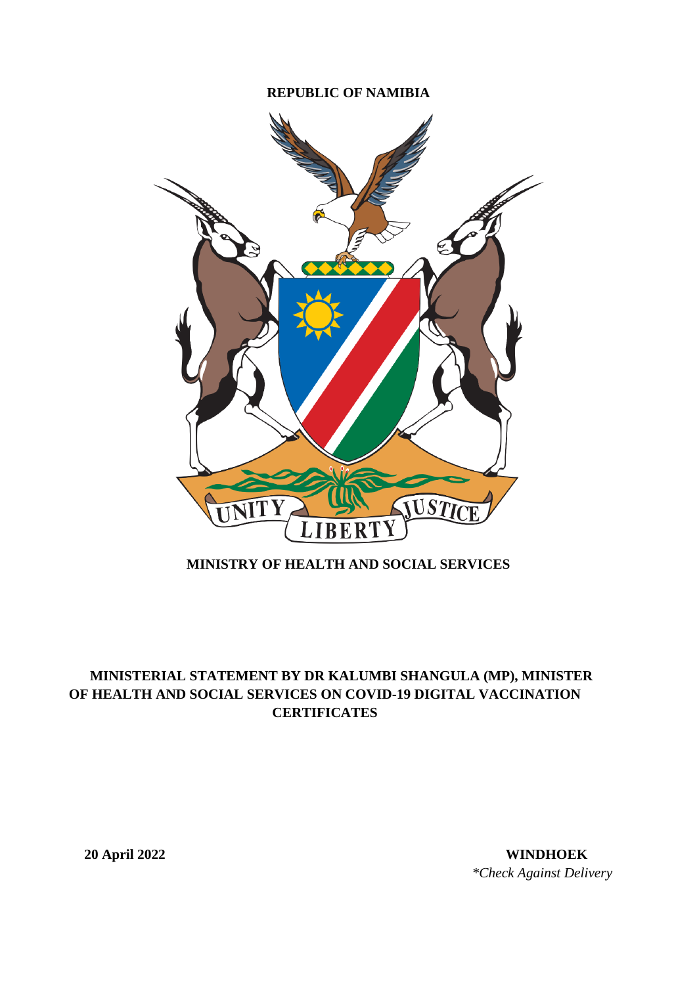## **REPUBLIC OF NAMIBIA**



## **MINISTRY OF HEALTH AND SOCIAL SERVICES**

## **MINISTERIAL STATEMENT BY DR KALUMBI SHANGULA (MP), MINISTER OF HEALTH AND SOCIAL SERVICES ON COVID-19 DIGITAL VACCINATION CERTIFICATES**

**20 April 2022 WINDHOEK** *\*Check Against Delivery*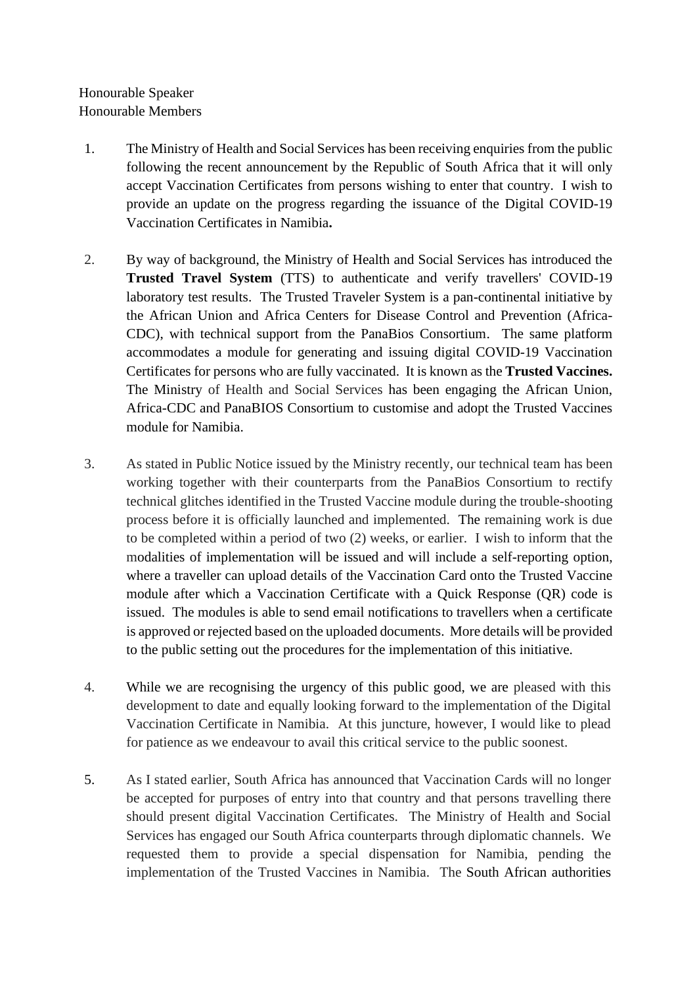Honourable Speaker Honourable Members

- 1. The Ministry of Health and Social Services has been receiving enquiries from the public following the recent announcement by the Republic of South Africa that it will only accept Vaccination Certificates from persons wishing to enter that country. I wish to provide an update on the progress regarding the issuance of the Digital COVID-19 Vaccination Certificates in Namibia**.**
- 2. By way of background, the Ministry of Health and Social Services has introduced the **Trusted Travel System** (TTS) to authenticate and verify travellers' COVID-19 laboratory test results. The Trusted Traveler System is a pan-continental initiative by the African Union and Africa Centers for Disease Control and Prevention (Africa-CDC), with technical support from the PanaBios Consortium. The same platform accommodates a module for generating and issuing digital COVID-19 Vaccination Certificates for persons who are fully vaccinated. It is known as the **Trusted Vaccines.**  The Ministry of Health and Social Services has been engaging the African Union, Africa-CDC and PanaBIOS Consortium to customise and adopt the Trusted Vaccines module for Namibia.
- 3. As stated in Public Notice issued by the Ministry recently, our technical team has been working together with their counterparts from the PanaBios Consortium to rectify technical glitches identified in the Trusted Vaccine module during the trouble-shooting process before it is officially launched and implemented. The remaining work is due to be completed within a period of two (2) weeks, or earlier. I wish to inform that the modalities of implementation will be issued and will include a self-reporting option, where a traveller can upload details of the Vaccination Card onto the Trusted Vaccine module after which a Vaccination Certificate with a Quick Response (QR) code is issued. The modules is able to send email notifications to travellers when a certificate is approved or rejected based on the uploaded documents. More details will be provided to the public setting out the procedures for the implementation of this initiative.
- 4. While we are recognising the urgency of this public good, we are pleased with this development to date and equally looking forward to the implementation of the Digital Vaccination Certificate in Namibia. At this juncture, however, I would like to plead for patience as we endeavour to avail this critical service to the public soonest.
- 5. As I stated earlier, South Africa has announced that Vaccination Cards will no longer be accepted for purposes of entry into that country and that persons travelling there should present digital Vaccination Certificates. The Ministry of Health and Social Services has engaged our South Africa counterparts through diplomatic channels. We requested them to provide a special dispensation for Namibia, pending the implementation of the Trusted Vaccines in Namibia. The South African authorities